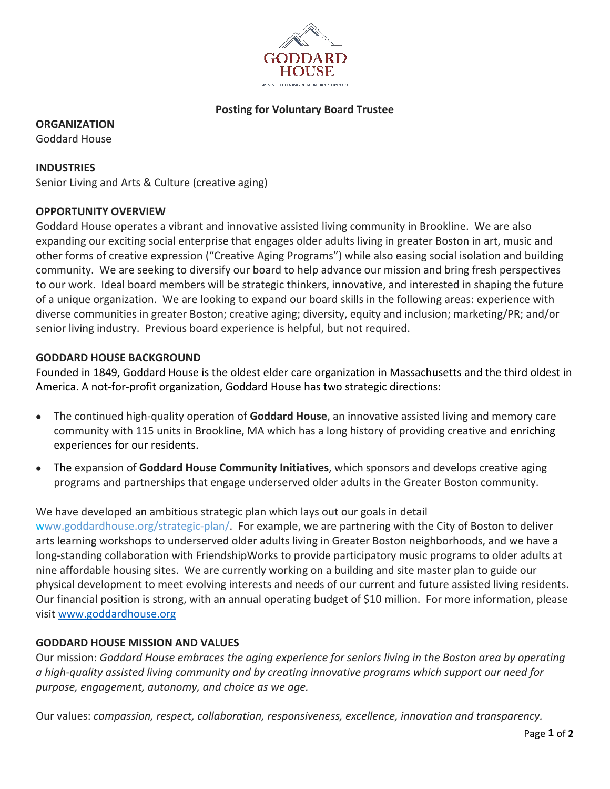

# **Posting for Voluntary Board Trustee**

**ORGANIZATION**

Goddard House

**INDUSTRIES** Senior Living and Arts & Culture (creative aging)

## **OPPORTUNITY OVERVIEW**

Goddard House operates a vibrant and innovative assisted living community in Brookline. We are also expanding our exciting social enterprise that engages older adults living in greater Boston in art, music and other forms of creative expression ("Creative Aging Programs") while also easing social isolation and building community. We are seeking to diversify our board to help advance our mission and bring fresh perspectives to our work. Ideal board members will be strategic thinkers, innovative, and interested in shaping the future of a unique organization. We are looking to expand our board skills in the following areas: experience with diverse communities in greater Boston; creative aging; diversity, equity and inclusion; marketing/PR; and/or senior living industry. Previous board experience is helpful, but not required.

#### **GODDARD HOUSE BACKGROUND**

Founded in 1849, Goddard House is the oldest elder care organization in Massachusetts and the third oldest in America. A not-for-profit organization, Goddard House has two strategic directions:

- The continued high-quality operation of **Goddard House**, an innovative assisted living and memory care community with 115 units in Brookline, MA which has a long history of providing creative and enriching experiences for our residents.
- The expansion of **Goddard House Community Initiatives**, which sponsors and develops creative aging programs and partnerships that engage underserved older adults in the Greater Boston community.

We have developed an ambitious strategic plan which lays out our goals in detail www.goddardhouse.org/strategic-plan/. For example, we are partnering with the City of Boston to deliver arts learning workshops to underserved older adults living in Greater Boston neighborhoods, and we have a long-standing collaboration with FriendshipWorks to provide participatory music programs to older adults at nine affordable housing sites. We are currently working on a building and site master plan to guide our physical development to meet evolving interests and needs of our current and future assisted living residents. Our financial position is strong, with an annual operating budget of \$10 million. For more information, please visit www.goddardhouse.org

#### **GODDARD HOUSE MISSION AND VALUES**

Our mission: *Goddard House embraces the aging experience for seniors living in the Boston area by operating a high-quality assisted living community and by creating innovative programs which support our need for purpose, engagement, autonomy, and choice as we age.*

Our values: *compassion, respect, collaboration, responsiveness, excellence, innovation and transparency.*